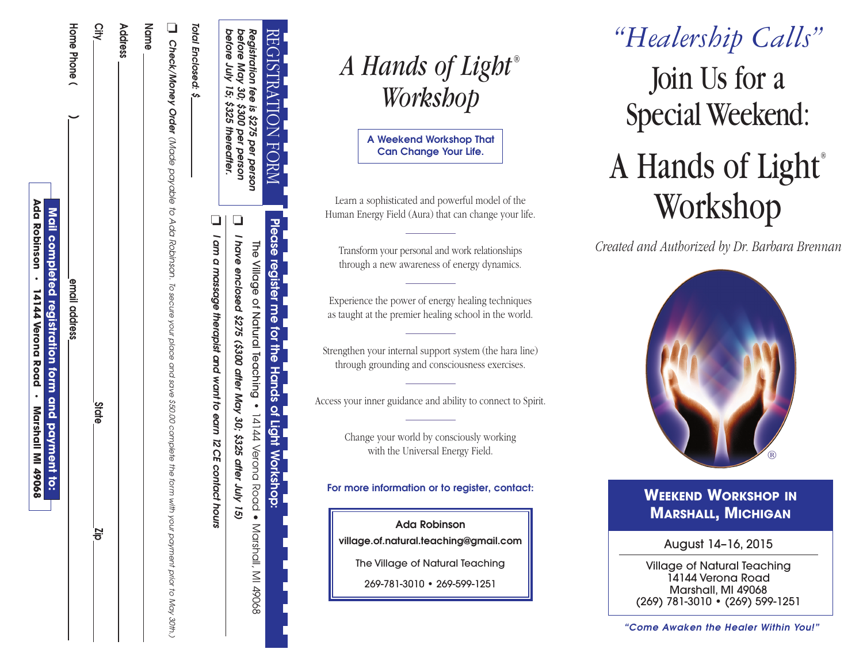| before July 15; \$325 thereafter. |                                                                                                                                                                       |
|-----------------------------------|-----------------------------------------------------------------------------------------------------------------------------------------------------------------------|
|                                   | $\Box$ I am a massage therapist and want to earn 12 CE contact<br>hours                                                                                               |
| Total Enclosed: \$_               |                                                                                                                                                                       |
|                                   | $\blacksquare$ Check/Money Order (Made (Made Made payable to Ada Robinson. To secure your end save \$50.00 complete the form<br>with your payment prior to May 30th.) |
| Name                              |                                                                                                                                                                       |
| Address                           |                                                                                                                                                                       |
| ر<br>اج                           | <b>State</b><br>$\frac{1}{5}$                                                                                                                                         |
| Home Phone                        | email address                                                                                                                                                         |
|                                   | Mail completed registration form and payment to:                                                                                                                      |
|                                   |                                                                                                                                                                       |

| A Hands of Light® |  |
|-------------------|--|
| Workshop          |  |

REGISTRATION

**REGISTRATIO** 

*Registration*

*before*

*May 30; \$300*

*per*

*person*

*fee is \$275*

*per*

*person*

FORM

 $\bar{z}$ 

**Please**

ነ<br>የ

 $\Box$ 

*I have*

*enclosed*

*\$275*

*(\$300*

*after*

*May 30; \$325*

*after*

*July 15)* Village

õ

Natural

Teaching

**•**

14144

Verona

Road •

Marshall,

 $\leq$ 

49068

**register**

**me for the**

**Hands**

**of**

Light Workshop: **Workshop:**

**A** Weekend Workshop That **Can Change Your Life.** 

Learn a sophisticated and powerful model of the Human Energy Field (Aura) that can change your life.

Transform vour personal and work relationships through a new awareness of energy dynamics.

Experience the power of energy healing techniques as taught at the premier healing school in the world.

Strengthen vour internal support system (the hara line) through grounding and consciousness exercises.

Access your inner guidance and ability to connect to Spirit.

Change your world by consciously working with the Universal Energy Field.

For more information or to reaister, contact:

**Ada Robinson** village.of.natural.teachina@amail.com

The Village of Natural Teaching

269-781-3010 • 269-599-1251

# Join Us for a Special Weekend : A Hands of Light<sup>®</sup> Workshop *" H ea le rs h ip C a lls "*

Created and Authorized by Dr. Barbara Brennan



## **WEEKEND WORKSHOP IN MARSHALL, MICHIGAN**

August 14-16, 2015

Village of Natural Teaching 14144 Verona Road Marshall, MI 49068 (269) 781-3010 • (269) 599-1251